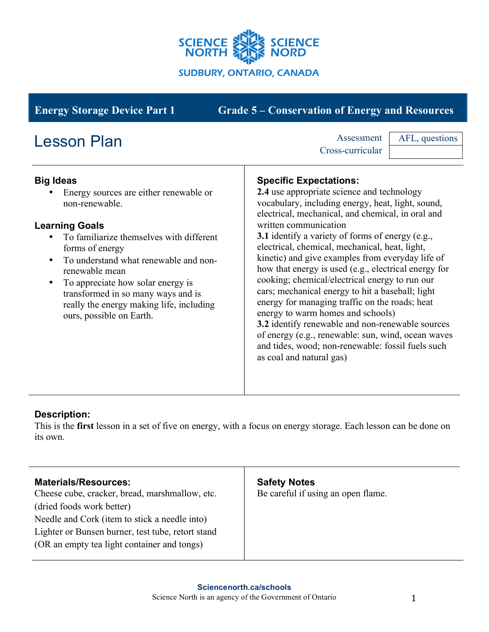

| <b>Energy Storage Device Part 1</b>                                                                                                                                                                                                                                                                                                                                                                          | <b>Grade 5 – Conservation of Energy and Resources</b>                                                                                                                                                                                                                                                                                                                                                                                                                                                                                                                                                                                                                                                                                                                                                                           |
|--------------------------------------------------------------------------------------------------------------------------------------------------------------------------------------------------------------------------------------------------------------------------------------------------------------------------------------------------------------------------------------------------------------|---------------------------------------------------------------------------------------------------------------------------------------------------------------------------------------------------------------------------------------------------------------------------------------------------------------------------------------------------------------------------------------------------------------------------------------------------------------------------------------------------------------------------------------------------------------------------------------------------------------------------------------------------------------------------------------------------------------------------------------------------------------------------------------------------------------------------------|
| <b>Lesson Plan</b>                                                                                                                                                                                                                                                                                                                                                                                           | Assessment<br>AFL, questions<br>Cross-curricular                                                                                                                                                                                                                                                                                                                                                                                                                                                                                                                                                                                                                                                                                                                                                                                |
| <b>Big Ideas</b><br>Energy sources are either renewable or<br>non-renewable.<br><b>Learning Goals</b><br>To familiarize themselves with different<br>forms of energy<br>To understand what renewable and non-<br>$\bullet$<br>renewable mean<br>To appreciate how solar energy is<br>$\bullet$<br>transformed in so many ways and is<br>really the energy making life, including<br>ours, possible on Earth. | <b>Specific Expectations:</b><br>2.4 use appropriate science and technology<br>vocabulary, including energy, heat, light, sound,<br>electrical, mechanical, and chemical, in oral and<br>written communication<br><b>3.1</b> identify a variety of forms of energy (e.g.,<br>electrical, chemical, mechanical, heat, light,<br>kinetic) and give examples from everyday life of<br>how that energy is used (e.g., electrical energy for<br>cooking; chemical/electrical energy to run our<br>cars; mechanical energy to hit a baseball; light<br>energy for managing traffic on the roads; heat<br>energy to warm homes and schools)<br>3.2 identify renewable and non-renewable sources<br>of energy (e.g., renewable: sun, wind, ocean waves<br>and tides, wood; non-renewable: fossil fuels such<br>as coal and natural gas) |

# **Description:**

This is the **first** lesson in a set of five on energy, with a focus on energy storage. Each lesson can be done on its own.

| <b>Materials/Resources:</b><br>Cheese cube, cracker, bread, marshmallow, etc.                    | <b>Safety Notes</b><br>Be careful if using an open flame. |
|--------------------------------------------------------------------------------------------------|-----------------------------------------------------------|
| (dried foods work better)<br>Needle and Cork (item to stick a needle into)                       |                                                           |
| Lighter or Bunsen burner, test tube, retort stand<br>(OR an empty tea light container and tongs) |                                                           |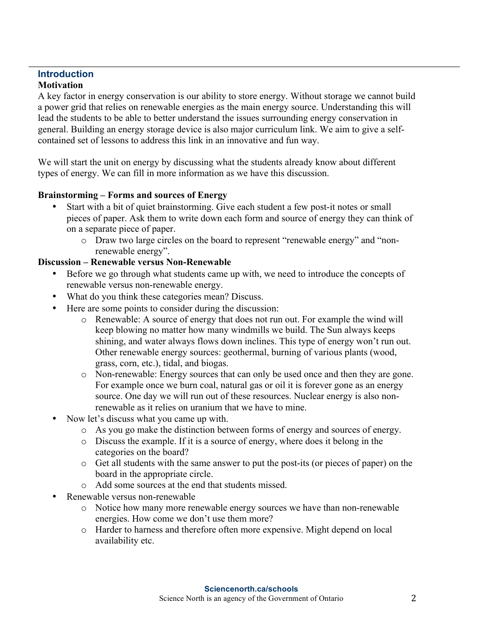#### **Introduction Motivation**

A key factor in energy conservation is our ability to store energy. Without storage we cannot build a power grid that relies on renewable energies as the main energy source. Understanding this will lead the students to be able to better understand the issues surrounding energy conservation in general. Building an energy storage device is also major curriculum link. We aim to give a selfcontained set of lessons to address this link in an innovative and fun way.

We will start the unit on energy by discussing what the students already know about different types of energy. We can fill in more information as we have this discussion.

#### **Brainstorming – Forms and sources of Energy**

- Start with a bit of quiet brainstorming. Give each student a few post-it notes or small pieces of paper. Ask them to write down each form and source of energy they can think of on a separate piece of paper.
	- o Draw two large circles on the board to represent "renewable energy" and "nonrenewable energy".

#### **Discussion – Renewable versus Non-Renewable**

- Before we go through what students came up with, we need to introduce the concepts of renewable versus non-renewable energy.
- What do you think these categories mean? Discuss.
- Here are some points to consider during the discussion:
	- o Renewable: A source of energy that does not run out. For example the wind will keep blowing no matter how many windmills we build. The Sun always keeps shining, and water always flows down inclines. This type of energy won't run out. Other renewable energy sources: geothermal, burning of various plants (wood, grass, corn, etc.), tidal, and biogas.
	- o Non-renewable: Energy sources that can only be used once and then they are gone. For example once we burn coal, natural gas or oil it is forever gone as an energy source. One day we will run out of these resources. Nuclear energy is also nonrenewable as it relies on uranium that we have to mine.
- Now let's discuss what you came up with.
	- o As you go make the distinction between forms of energy and sources of energy.
	- o Discuss the example. If it is a source of energy, where does it belong in the categories on the board?
	- o Get all students with the same answer to put the post-its (or pieces of paper) on the board in the appropriate circle.
	- o Add some sources at the end that students missed.
- Renewable versus non-renewable
	- o Notice how many more renewable energy sources we have than non-renewable energies. How come we don't use them more?
	- o Harder to harness and therefore often more expensive. Might depend on local availability etc.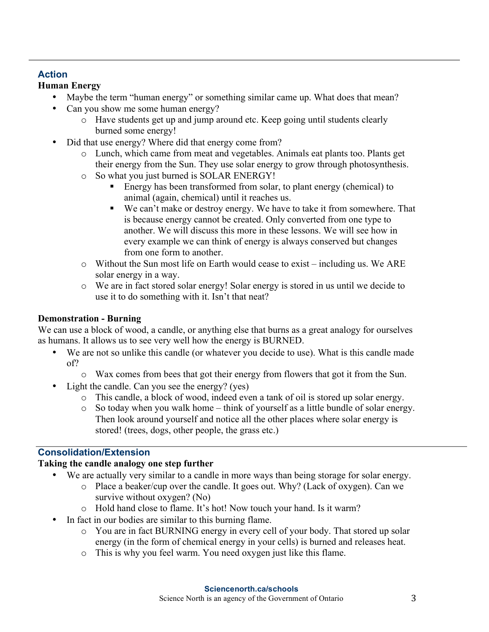## **Action**

## **Human Energy**

- Maybe the term "human energy" or something similar came up. What does that mean?
- Can you show me some human energy?
	- o Have students get up and jump around etc. Keep going until students clearly burned some energy!
- Did that use energy? Where did that energy come from?
	- o Lunch, which came from meat and vegetables. Animals eat plants too. Plants get their energy from the Sun. They use solar energy to grow through photosynthesis.
	- o So what you just burned is SOLAR ENERGY!
		- Energy has been transformed from solar, to plant energy (chemical) to animal (again, chemical) until it reaches us.
		- We can't make or destroy energy. We have to take it from somewhere. That is because energy cannot be created. Only converted from one type to another. We will discuss this more in these lessons. We will see how in every example we can think of energy is always conserved but changes from one form to another.
	- o Without the Sun most life on Earth would cease to exist including us. We ARE solar energy in a way.
	- o We are in fact stored solar energy! Solar energy is stored in us until we decide to use it to do something with it. Isn't that neat?

## **Demonstration - Burning**

We can use a block of wood, a candle, or anything else that burns as a great analogy for ourselves as humans. It allows us to see very well how the energy is BURNED.

- We are not so unlike this candle (or whatever you decide to use). What is this candle made of?
	- o Wax comes from bees that got their energy from flowers that got it from the Sun.
- Light the candle. Can you see the energy? (yes)
	- o This candle, a block of wood, indeed even a tank of oil is stored up solar energy.
	- o So today when you walk home think of yourself as a little bundle of solar energy. Then look around yourself and notice all the other places where solar energy is stored! (trees, dogs, other people, the grass etc.)

# **Consolidation/Extension**

### **Taking the candle analogy one step further**

- We are actually very similar to a candle in more ways than being storage for solar energy.
	- o Place a beaker/cup over the candle. It goes out. Why? (Lack of oxygen). Can we survive without oxygen? (No)
	- o Hold hand close to flame. It's hot! Now touch your hand. Is it warm?
- In fact in our bodies are similar to this burning flame.
	- o You are in fact BURNING energy in every cell of your body. That stored up solar energy (in the form of chemical energy in your cells) is burned and releases heat.
	- o This is why you feel warm. You need oxygen just like this flame.